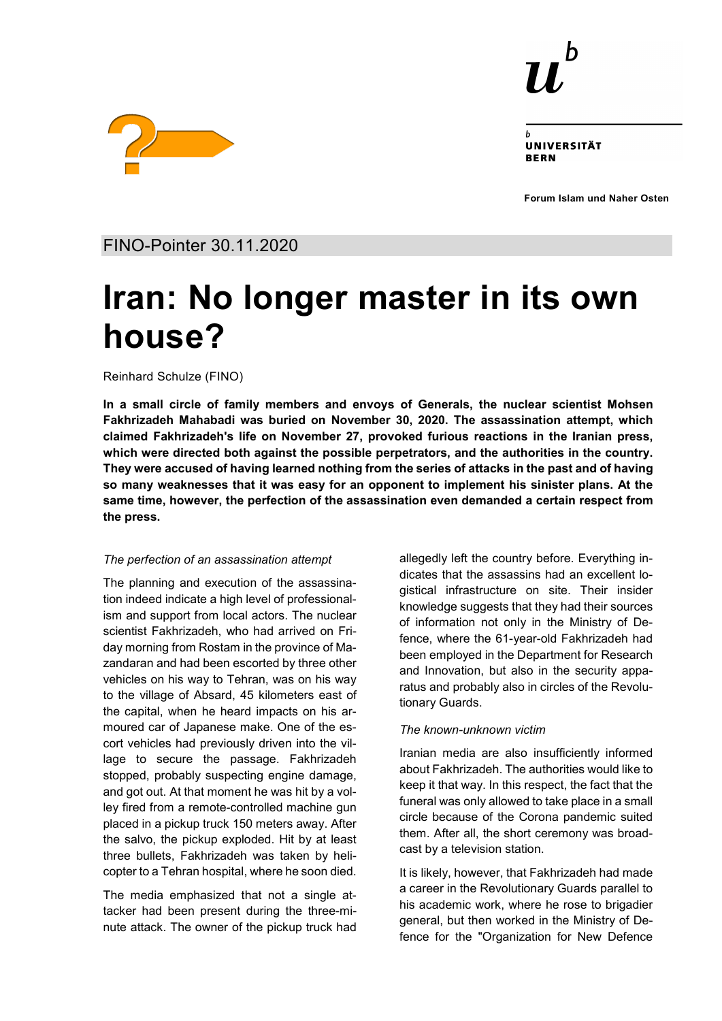

UNIVERSITÄT **RERN** 

**Forum Islam und Naher Osten**



FINO-Pointer 30.11.2020

# **Iran: No longer master in its own house?**

Reinhard Schulze (FINO)

**In a small circle of family members and envoys of Generals, the nuclear scientist Mohsen Fakhrizadeh Mahabadi was buried on November 30, 2020. The assassination attempt, which claimed Fakhrizadeh's life on November 27, provoked furious reactions in the Iranian press, which were directed both against the possible perpetrators, and the authorities in the country. They were accused of having learned nothing from the series of attacks in the past and of having so many weaknesses that it was easy for an opponent to implement his sinister plans. At the same time, however, the perfection of the assassination even demanded a certain respect from the press.**

### *The perfection of an assassination attempt*

The planning and execution of the assassination indeed indicate a high level of professionalism and support from local actors. The nuclear scientist Fakhrizadeh, who had arrived on Friday morning from Rostam in the province of Mazandaran and had been escorted by three other vehicles on his way to Tehran, was on his way to the village of Absard, 45 kilometers east of the capital, when he heard impacts on his armoured car of Japanese make. One of the escort vehicles had previously driven into the village to secure the passage. Fakhrizadeh stopped, probably suspecting engine damage, and got out. At that moment he was hit by a volley fired from a remote-controlled machine gun placed in a pickup truck 150 meters away. After the salvo, the pickup exploded. Hit by at least three bullets, Fakhrizadeh was taken by helicopter to a Tehran hospital, where he soon died.

The media emphasized that not a single attacker had been present during the three-minute attack. The owner of the pickup truck had allegedly left the country before. Everything indicates that the assassins had an excellent logistical infrastructure on site. Their insider knowledge suggests that they had their sources of information not only in the Ministry of Defence, where the 61-year-old Fakhrizadeh had been employed in the Department for Research and Innovation, but also in the security apparatus and probably also in circles of the Revolutionary Guards.

## *The known-unknown victim*

Iranian media are also insufficiently informed about Fakhrizadeh. The authorities would like to keep it that way. In this respect, the fact that the funeral was only allowed to take place in a small circle because of the Corona pandemic suited them. After all, the short ceremony was broadcast by a television station.

It is likely, however, that Fakhrizadeh had made a career in the Revolutionary Guards parallel to his academic work, where he rose to brigadier general, but then worked in the Ministry of Defence for the "Organization for New Defence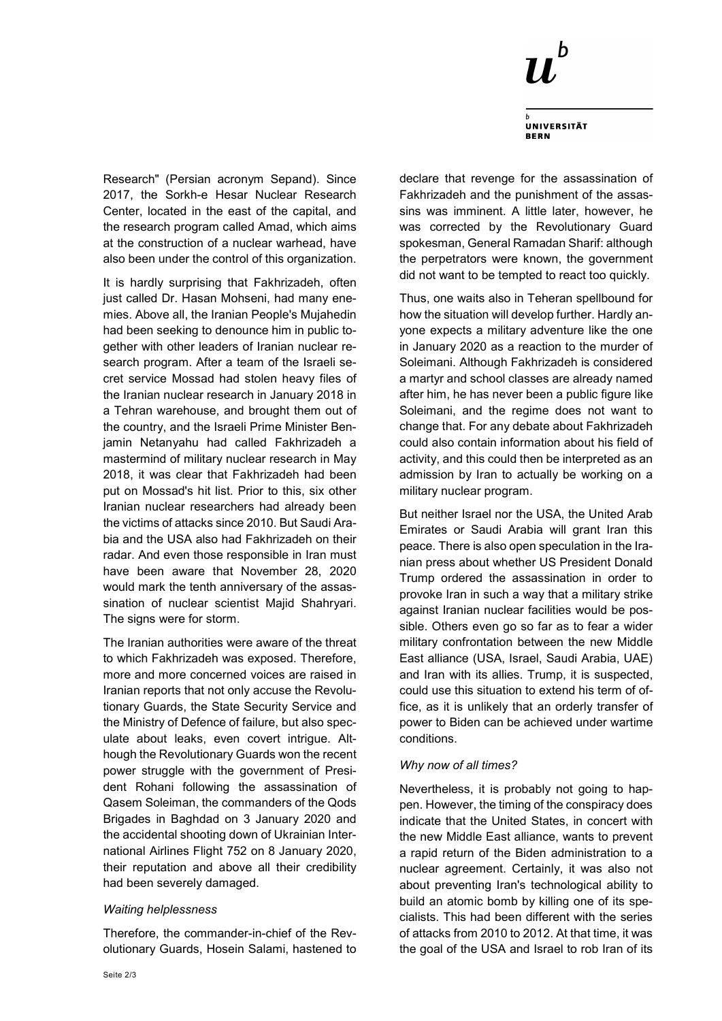

**UNIVERSITÄT BERN** 

Research" (Persian acronym Sepand). Since 2017, the Sorkh-e Hesar Nuclear Research Center, located in the east of the capital, and the research program called Amad, which aims at the construction of a nuclear warhead, have also been under the control of this organization.

It is hardly surprising that Fakhrizadeh, often just called Dr. Hasan Mohseni, had many enemies. Above all, the Iranian People's Mujahedin had been seeking to denounce him in public together with other leaders of Iranian nuclear research program. After a team of the Israeli secret service Mossad had stolen heavy files of the Iranian nuclear research in January 2018 in a Tehran warehouse, and brought them out of the country, and the Israeli Prime Minister Benjamin Netanyahu had called Fakhrizadeh a mastermind of military nuclear research in May 2018, it was clear that Fakhrizadeh had been put on Mossad's hit list. Prior to this, six other Iranian nuclear researchers had already been the victims of attacks since 2010. But Saudi Arabia and the USA also had Fakhrizadeh on their radar. And even those responsible in Iran must have been aware that November 28, 2020 would mark the tenth anniversary of the assassination of nuclear scientist Majid Shahryari. The signs were for storm.

The Iranian authorities were aware of the threat to which Fakhrizadeh was exposed. Therefore, more and more concerned voices are raised in Iranian reports that not only accuse the Revolutionary Guards, the State Security Service and the Ministry of Defence of failure, but also speculate about leaks, even covert intrigue. Although the Revolutionary Guards won the recent power struggle with the government of President Rohani following the assassination of Qasem Soleiman, the commanders of the Qods Brigades in Baghdad on 3 January 2020 and the accidental shooting down of Ukrainian International Airlines Flight 752 on 8 January 2020, their reputation and above all their credibility had been severely damaged.

#### *Waiting helplessness*

Therefore, the commander-in-chief of the Revolutionary Guards, Hosein Salami, hastened to declare that revenge for the assassination of Fakhrizadeh and the punishment of the assassins was imminent. A little later, however, he was corrected by the Revolutionary Guard spokesman, General Ramadan Sharif: although the perpetrators were known, the government did not want to be tempted to react too quickly.

Thus, one waits also in Teheran spellbound for how the situation will develop further. Hardly anyone expects a military adventure like the one in January 2020 as a reaction to the murder of Soleimani. Although Fakhrizadeh is considered a martyr and school classes are already named after him, he has never been a public figure like Soleimani, and the regime does not want to change that. For any debate about Fakhrizadeh could also contain information about his field of activity, and this could then be interpreted as an admission by Iran to actually be working on a military nuclear program.

But neither Israel nor the USA, the United Arab Emirates or Saudi Arabia will grant Iran this peace. There is also open speculation in the Iranian press about whether US President Donald Trump ordered the assassination in order to provoke Iran in such a way that a military strike against Iranian nuclear facilities would be possible. Others even go so far as to fear a wider military confrontation between the new Middle East alliance (USA, Israel, Saudi Arabia, UAE) and Iran with its allies. Trump, it is suspected, could use this situation to extend his term of office, as it is unlikely that an orderly transfer of power to Biden can be achieved under wartime conditions.

#### *Why now of all times?*

Nevertheless, it is probably not going to happen. However, the timing of the conspiracy does indicate that the United States, in concert with the new Middle East alliance, wants to prevent a rapid return of the Biden administration to a nuclear agreement. Certainly, it was also not about preventing Iran's technological ability to build an atomic bomb by killing one of its specialists. This had been different with the series of attacks from 2010 to 2012. At that time, it was the goal of the USA and Israel to rob Iran of its